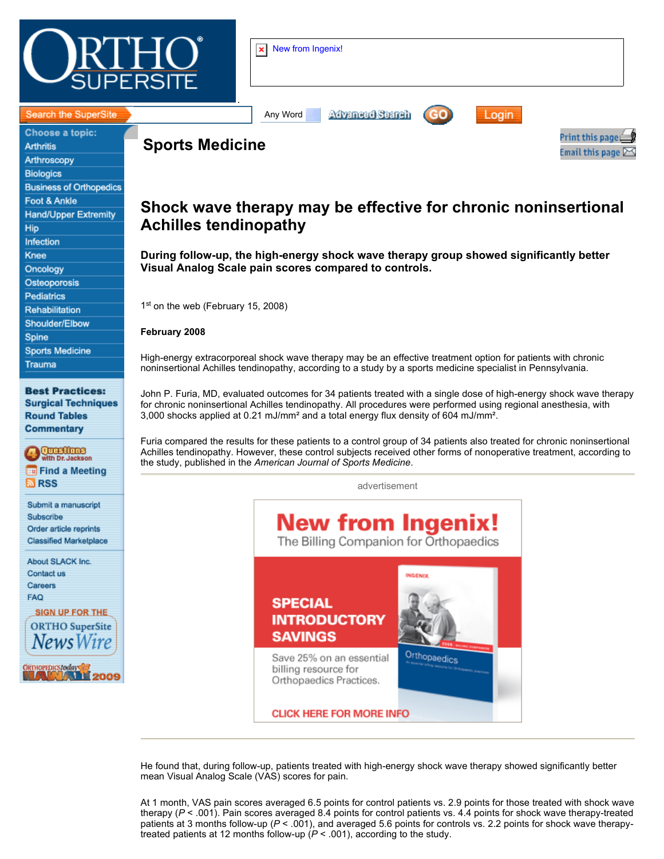

| ₩      | New from Ingenix!<br>×l                    |                        |
|--------|--------------------------------------------|------------------------|
| <br>-- | Advanced Search<br>GO<br>Any Word<br>Login | int this page $\equiv$ |

Email this page  $\Sigma$ 

#### Search the SuperSite

Choose a topic: **Arthritis** Arthroscopy **Biologics Business of Orthopedics** Foot & Ankle **Hand/Upper Extremity** Hip Infection Knee Oncology Osteoporosis **Pediatrics** Rehabilitation Shoulder/Elbow Spine **Sports Medicine** Trauma

**Best Practices: Surgical Techniques Round Tables Commentary** 

**QUESCIONS**<br>with Dr. Jackso Find a Meeting **N**<sub>RSS</sub>

Submit a manuscript Subscribe Order article reprints **Classified Marketplace** 

About SLACK Inc. Contact us Careers **FAQ** 

**SIGN UP FOR THE ORTHO** SuperSite HOPEDICS *Loda*ys<br>Lee De La **ALL 2009** 

# **Shock wave therapy may be effective for chronic noninsertional Achilles tendinopathy**

## **During follow-up, the high-energy shock wave therapy group showed significantly better Visual Analog Scale pain scores compared to controls.**

1st on the web (February 15, 2008)

**Sports Medicine**

### **February 2008**

High-energy extracorporeal shock wave therapy may be an effective treatment option for patients with chronic noninsertional Achilles tendinopathy, according to a study by a sports medicine specialist in Pennsylvania.

John P. Furia, MD, evaluated outcomes for 34 patients treated with a single dose of high-energy shock wave therapy for chronic noninsertional Achilles tendinopathy. All procedures were performed using regional anesthesia, with 3,000 shocks applied at 0.21 mJ/mm² and a total energy flux density of 604 mJ/mm².

Furia compared the results for these patients to a control group of 34 patients also treated for chronic noninsertional Achilles tendinopathy. However, these control subjects received other forms of nonoperative treatment, according to the study, published in the *American Journal of Sports Medicine*.

advertisement



He found that, during follow-up, patients treated with high-energy shock wave therapy showed significantly better mean Visual Analog Scale (VAS) scores for pain.

At 1 month, VAS pain scores averaged 6.5 points for control patients vs. 2.9 points for those treated with shock wave therapy (*P* < .001). Pain scores averaged 8.4 points for control patients vs. 4.4 points for shock wave therapy-treated patients at 3 months follow-up (*P* < .001), and averaged 5.6 points for controls vs. 2.2 points for shock wave therapytreated patients at 12 months follow-up (*P* < .001), according to the study.